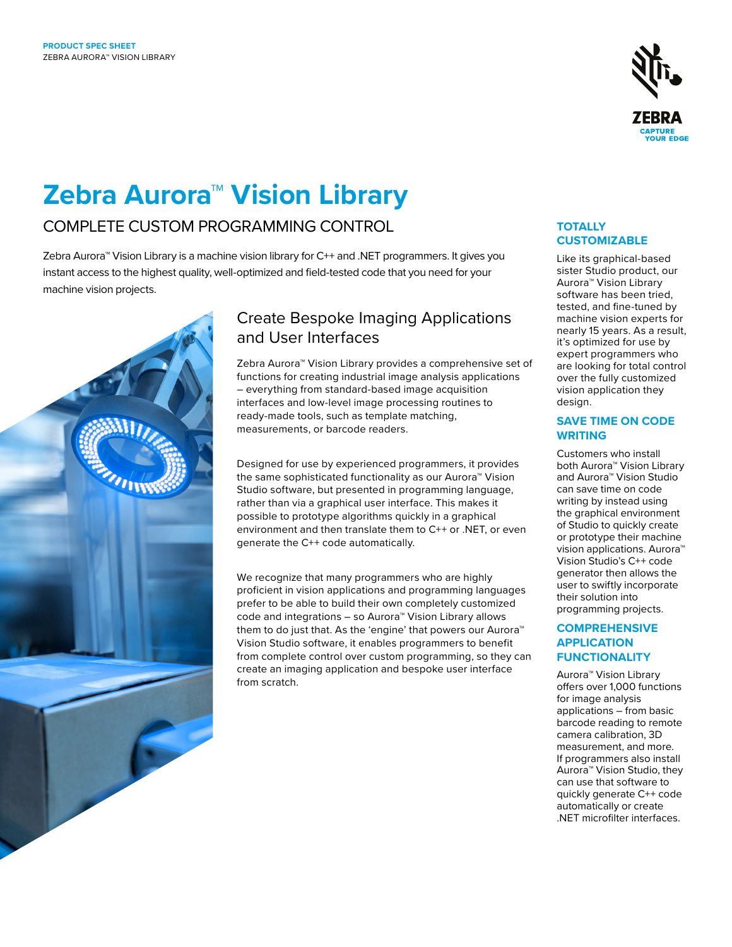

# **Zebra Aurora™ Vision Library**

# COMPLETE CUSTOM PROGRAMMING CONTROL

Zebra Aurora™ Vision Library is a machine vision library for C++ and .NET programmers. It gives you instant access to the highest quality, well-optimized and field-tested code that you need for your machine vision projects.



# Create Bespoke Imaging Applications and User Interfaces

Zebra Aurora™ Vision Library provides a comprehensive set of functions for creating industrial image analysis applications – everything from standard-based image acquisition interfaces and low-level image processing routines to ready-made tools, such as template matching, measurements, or barcode readers.

Designed for use by experienced programmers, it provides the same sophisticated functionality as our Aurora™ Vision Studio software, but presented in programming language, rather than via a graphical user interface. This makes it possible to prototype algorithms quickly in a graphical environment and then translate them to C++ or .NET, or even generate the C++ code automatically.

We recognize that many programmers who are highly proficient in vision applications and programming languages prefer to be able to build their own completely customized code and integrations – so Aurora™ Vision Library allows them to do just that. As the 'engine' that powers our Aurora™ Vision Studio software, it enables programmers to benefit from complete control over custom programming, so they can create an imaging application and bespoke user interface from scratch.

## **TOTALLY CUSTOMIZABLE**

Like its graphical-based sister Studio product, our Aurora™ Vision Library software has been tried, tested, and fine-tuned by machine vision experts for nearly 15 years. As a result, it's optimized for use by expert programmers who are looking for total control over the fully customized vision application they design.

## **SAVE TIME ON CODE WRITING**

Customers who install both Aurora™ Vision Library and Aurora™ Vision Studio can save time on code writing by instead using the graphical environment of Studio to quickly create or prototype their machine vision applications. Aurora™ Vision Studio's C++ code generator then allows the user to swiftly incorporate their solution into programming projects.

## **COMPREHENSIVE APPLICATION FUNCTIONALITY**

Aurora™ Vision Library offers over 1,000 functions for image analysis applications – from basic barcode reading to remote camera calibration, 3D measurement, and more. If programmers also install Aurora™ Vision Studio, they can use that software to quickly generate C++ code automatically or create .NET microfilter interfaces.